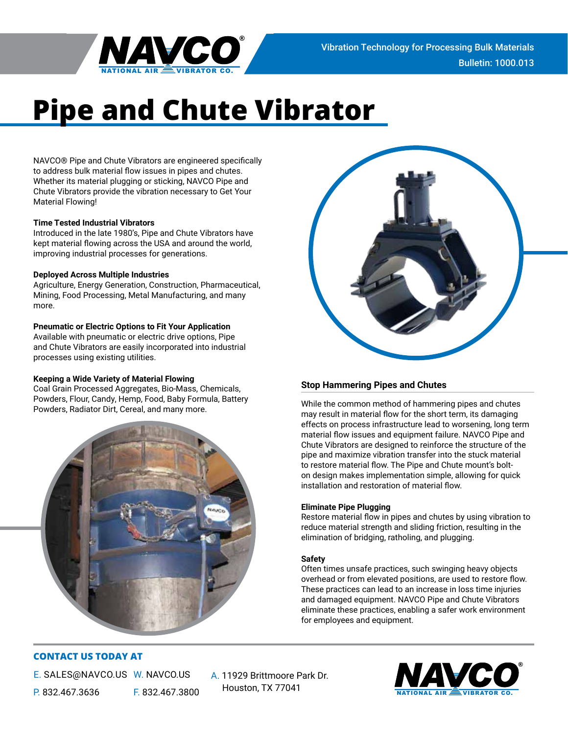

# **Pipe and Chute Vibrator**

NAVCO® Pipe and Chute Vibrators are engineered specifically to address bulk material flow issues in pipes and chutes. Whether its material plugging or sticking, NAVCO Pipe and Chute Vibrators provide the vibration necessary to Get Your Material Flowing!

## **Time Tested Industrial Vibrators**

Introduced in the late 1980's, Pipe and Chute Vibrators have kept material flowing across the USA and around the world, improving industrial processes for generations.

### **Deployed Across Multiple Industries**

Agriculture, Energy Generation, Construction, Pharmaceutical, Mining, Food Processing, Metal Manufacturing, and many more.

## **Pneumatic or Electric Options to Fit Your Application**

Available with pneumatic or electric drive options, Pipe and Chute Vibrators are easily incorporated into industrial processes using existing utilities.

## **Keeping a Wide Variety of Material Flowing**

Coal Grain Processed Aggregates, Bio-Mass, Chemicals, Powders, Flour, Candy, Hemp, Food, Baby Formula, Battery Powders, Radiator Dirt, Cereal, and many more.





# **Stop Hammering Pipes and Chutes**

While the common method of hammering pipes and chutes may result in material flow for the short term, its damaging effects on process infrastructure lead to worsening, long term material flow issues and equipment failure. NAVCO Pipe and Chute Vibrators are designed to reinforce the structure of the pipe and maximize vibration transfer into the stuck material to restore material flow. The Pipe and Chute mount's bolton design makes implementation simple, allowing for quick installation and restoration of material flow.

## **Eliminate Pipe Plugging**

Restore material flow in pipes and chutes by using vibration to reduce material strength and sliding friction, resulting in the elimination of bridging, ratholing, and plugging.

## **Safety**

Often times unsafe practices, such swinging heavy objects overhead or from elevated positions, are used to restore flow. These practices can lead to an increase in loss time injuries and damaged equipment. NAVCO Pipe and Chute Vibrators eliminate these practices, enabling a safer work environment for employees and equipment.

# **CONTACT US TODAY AT**

E. SALES@NAVCO.US W. NAVCO.US P. 832.467.3636 F. 832.467.3800

A. 11929 Brittmoore Park Dr. Houston, TX 77041